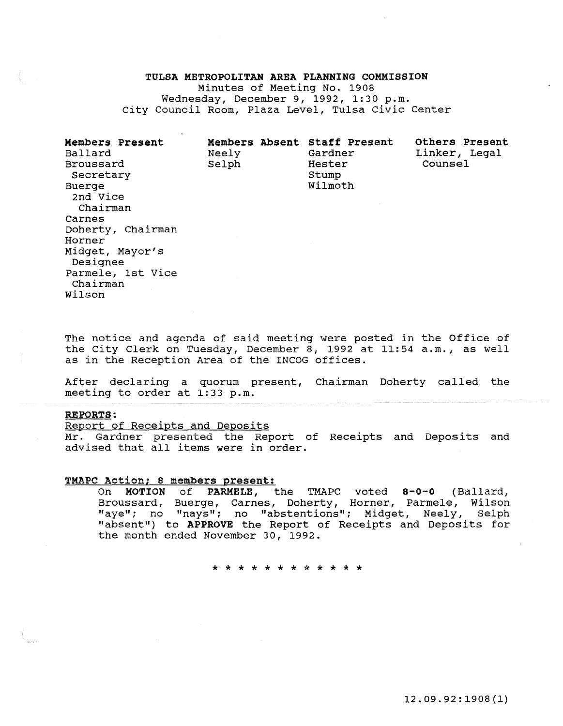# TULSA METROPOLITAN AREA PLANNING COMMISSION

Minutes of Meeting No. 1908 Wednesday, December 9, 1992, 1:30 p.m. City Council Room, Plaza Level, Tulsa Civic Center

| <b>Members Present</b><br>Ballard<br>Broussard<br>Secretary<br>Buerge<br>2nd Vice<br>Chairman<br>Carnes<br>Doherty, Chairman<br>Horner<br>Midget, Mayor's<br>Designee<br>Parmele, 1st Vice<br>Chairman | Members Absent Staff Present<br>Neely<br>Selph | Gardner<br>Hester<br>Stump<br>Wilmoth | <b>Others Present</b><br>Linker, Legal<br>Counsel |
|--------------------------------------------------------------------------------------------------------------------------------------------------------------------------------------------------------|------------------------------------------------|---------------------------------------|---------------------------------------------------|
| Wilson                                                                                                                                                                                                 |                                                |                                       |                                                   |

The notice and agenda of said meeting were posted in the Office of the City Clerk on Tuesday, December 8, 1992 at 11:54 a.m., as well as in the Reception Area of the INCOG offices.

After declaring a quorum present, Chairman Doherty called the meeting to order at 1:33 p.m.

# REPORTS:

Report of Receipts and Deposits Mr. Gardner presented the Report of Receipts and Deposits and advised that all items were in order.

# **TMAPC Action; s members present:**

On MOTION of PARMELE, the TMAPC voted 8-0-0 (Ballard, Broussard, Buerge, Carnes, Doherty, Horner, Parmele, Wilson "aye"; no "nays"; no "abstentions"; Midget, Neely, Selph "absent") to APPROVE the Report of Receipts and Deposits for the month ended November 30, 1992.

\* \* \* \* \* \* \* \* \* \* \* \*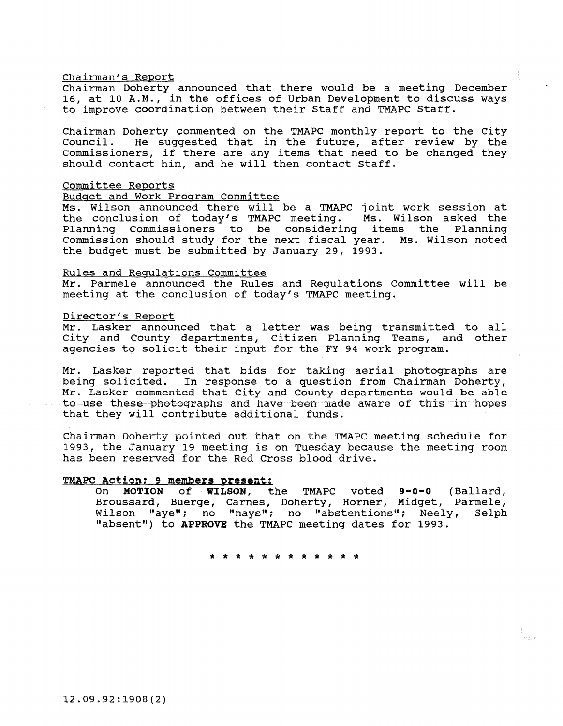# Chairman's Report

Chairman Doherty announced that there would be a meeting December 16, at 10 A.M., in the offices of Urban Development to discuss ways to improve coordination between their Staff and TMAPC Staff.

Chairman Doherty commented on the TMAPC monthly report to the City<br>Council. He suggested that in the future, after review by the He suggested that in the future, after review by the Commissioners, if there are any items that need to be changed they should contact him, and he will then contact staff.

# Committee Reports

# Budget and Work Program Committee

Ms. Wilson announced there will be a TMAPC joint work session at the conclusion of today's TMAPC meeting. Ms. Wilson asked the Planning commissioners to be considering items the Planning Commission should study for the next fiscal year. Ms. Wilson noted the budget must be submitted by January 29, 1993.

# Rules and Regulations Committee

Mr. Parmele announced the Rules and Regulations Committee will be meeting at the conclusion of today's TMAPC meeting.

# Director's Report

Mr. Lasker announced that a letter was being transmitted to all City and county departments, citizen Planning Teams, and other agencies to solicit their input for the FY 94 work program.

Mr. Lasker reported that bids for taking aerial photographs are being solicited. In response to a question from Chairman Doherty, Mr. Lasker commented that City and County departments would be able to use these photographs and have been made aware of this in hopes that they will contribute additional funds.

Chairman Doherty pointed out that on the TMAPC meeting schedule for 1993, the January 19 meeting is on Tuesday because the meeting room has been reserved for the Red Cross blood drive.

# TMAPC Action; 9 members present:

On **MOTION of WILSON,** the TMAPC voted **9-0-0** (Ballard; Broussard, Buerge, Carnes, Doherty, Horner, Midget, Parmele, Wilson "aye"; no "nays"; no "abstentions"; Neely, Selph "absent") to **APPROVE** the TMAPC meeting dates for 1993.

\* \* \* \* \* \* \* \* \* \* \* \*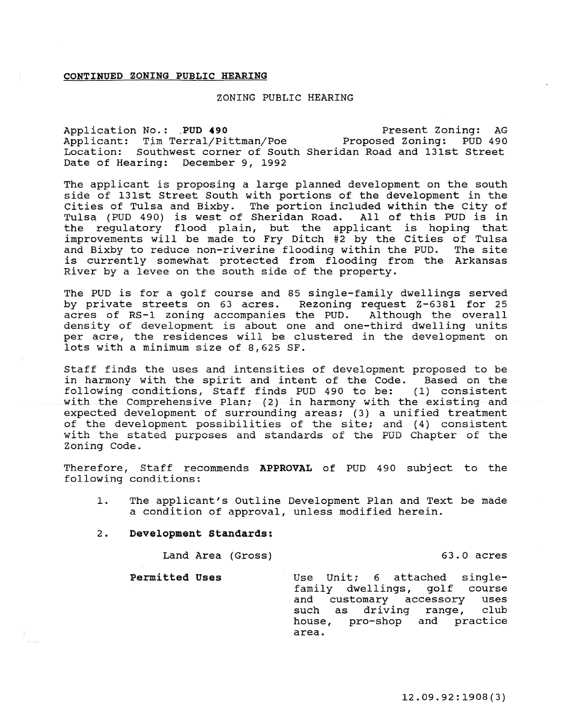# CONTINUED ZONING PUBLIC HEARING

# ZONING PUBLIC HEARING

Application No.: PUD 490 Applicant: Tim Terral/Pittman/Poe Proposed Zoning: PUD 490 Location: southwest corner of South Sheridan Road and 13lst Street Date of Hearing: December 9, 1992 Present Zoning: AG

The applicant is proposing a large planned development on the south side of 13lst Street South with portions of the development in the Cities of Tulsa and Bixby. The portion included within the City of Tulsa (PUD 490) is west of Sheridan Road. All of this PUD is in Tulsa (PUD 490) is west of Sheridan Road. the regulatory flood plain, but the applicant is hoping that improvements will be made to Fry Ditch #2 by the Cities of Tulsa and Bixby to reduce non-riverine flooding within the PUD. The site is currently somewhat protected from flooding from the Arkansas River by a levee on the south side of the property.

The PUD is for a golf course and 85 single-family dwellings served<br>by private streets on 63 acres. Rezoning request Z-6381 for 25 by private streets on 63 acres. Rezoning request Z-6381 for 25<br>acres of RS-1 zoning accompanies the PUD. Although the overall acres of RS-1 zoning accompanies the PUD. density of development is about one and one-third dwelling units per acre, the residences will be clustered in the development on lots with a minimum size of 8,625 SF.

Staff finds the uses and intensities of development proposed to be in harmony with the spirit and intent of the Code. Based on the following conditions, Staff finds PUD 490 to be: (1) consistent with the Comprehensive Plan; (2} in harmony with the existing and expected development of surrounding areas; (3) a unified treatment of the development possibilities of the site; and (4) consistent with the stated purposes and standards of the PUD Chapter of the Zoning Code.

Therefore, Staff recommends APPROVAL of PUD 490 subject to the following conditions:

- 1. The applicant's Outline Development Plan and Text be made a condition of approval, unless modified herein.
- 2. Development Standards:

Land Area (Gross) 63.0 acres

Permitted Uses Use Unit; 6 attached singlefamily dwellings, golf course and customary accessory uses such as driving range, club house, pro-shop and practice area.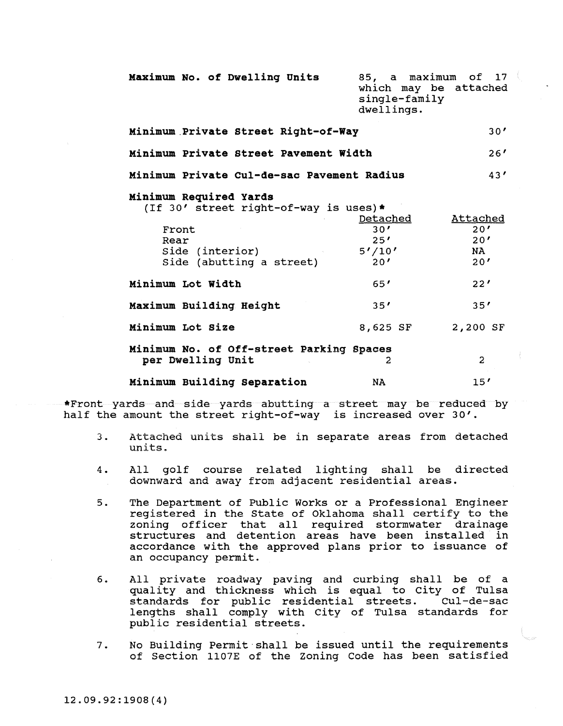| Maximum No. of Dwelling Units                                                                                                   | 85, a maximum of 17<br>which may be attached<br>single-family<br>dwellings. |                                      |
|---------------------------------------------------------------------------------------------------------------------------------|-----------------------------------------------------------------------------|--------------------------------------|
| Minimum Private Street Right-of-Way                                                                                             | 30 <sup>′</sup>                                                             |                                      |
| Minimum Private Street Pavement Width                                                                                           | 26 <sup>′</sup>                                                             |                                      |
| Minimum Private Cul-de-sac Pavement Radius                                                                                      |                                                                             | 43'                                  |
| Minimum Required Yards<br>(If 30' street right-of-way is uses)*<br>Front<br>Rear<br>Side (interior)<br>Side (abutting a street) | <u>Detached</u><br>30'<br>25'<br>5'/10'<br>20 <sup>′</sup>                  | Attached<br>20'<br>20'<br>NA.<br>20' |
| Minimum Lot Width                                                                                                               | 65'                                                                         | 22'                                  |
| Maximum Building Height                                                                                                         | 35 <sup>′</sup>                                                             | 35 <sup>′</sup>                      |
| Minimum Lot Size                                                                                                                | 8,625 SF                                                                    | 2,200 SF                             |
| Minimum No. of Off-street Parking Spaces<br>per Dwelling Unit                                                                   | 2                                                                           | $\overline{2}$                       |
| Minimum Building Separation                                                                                                     | <b>NA</b>                                                                   | 15'                                  |

\*Front yards and side yards abutting a street may be reduced by half the amount the street right-of-way is increased over 30'.

- 3. Attached units shall be in separate areas from detached units.
- 4. All golf course related lighting shall be directed downward and away from adjacent residential areas.
- 5. The Department of Public Works or a Professional Engineer registered in the State of Oklahoma shall certify to the zoning officer that all required stormwater drainage structures and detention areas have been installed in accordance with the approved plans prior to issuance of an occupancy permit.
- 6. All private roadway paving and curbing shall be of a quality and thickness which is equal to city of Tulsa standards for public residential streets. lengths shall comply with City of Tulsa standards for public residential streets.
- 7. No Building Permit·shall be issued until the requirements of Section 1107E of the Zoning Code has been satisfied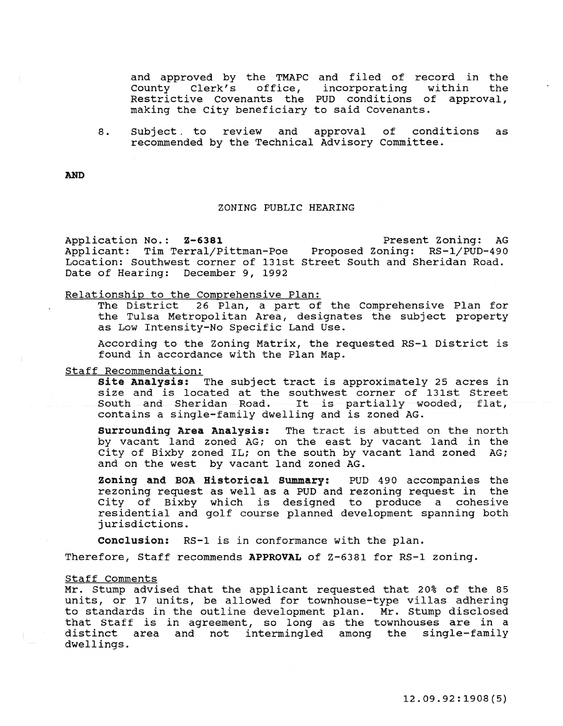and approved by the TMAPC and filed of record in the County Clerk's office, Restrictive covenants the PUD conditions of approval, making the City beneficiary to said Covenants. incorporating within the

8. Subject. to review and approval of conditions as recommended by the Technical Advisory Committee.

AND

# ZONING PUBLIC HEARING

Application No.: 2-6381 Present Zoning: AG Applicant: Tim Terral/Pittman-Poe Proposed Zoning: RS-1/PUD-490 Location: Southwest corner of 131st Street South and Sheridan Road. Date of Hearing: December 9, 1992

# Relationship to the Comprehensive Plan:

The District 26 Plan, a part of the Comprehensive Plan for the Tulsa Metropolitan Area, designates the subject property as Low Intensity-No Specific Land Use.

According to the Zoning Matrix, the requested RS-1 District is found in accordance with the Plan Map.

# Staff Recommendation:

Site Analysis: The subject tract is approximately 25 acres in size and is located at the southwest corner of 131st Street South and Sheridan Road. It is partially wooded, flat, contains a single-family dwelling and is zoned AG.

Surrounding Area Analysis: The tract is abutted on the north by vacant land zoned AG; on the east by vacant land in the City of Bixby zoned IL; on the south by vacant land zoned AG; and on the west by vacant land zoned AG.

Zoning and BOA Historical Summary: PUD 490 accompanies the rezoning request as well as a PUD and rezoning request in the City of Bixby which is designed to produce a cohesive residential and golf course planned development spanning both jurisdictions.

Conclusion: RS-1 is in conformance with the plan.

Therefore, Staff recommends APPROVAL of Z-6381 for RS-1 zoning.

#### Staff Comments

Mr. Stump advised that the applicant requested that 20% of the 85 units, or 17 units, be allowed for townhouse-type villas adhering to standards in the outline development plan. Mr. Stump disclosed that Staff is in agreement, so long as the townhouses are in a distinct area and not intermingled among the single-family dwellings.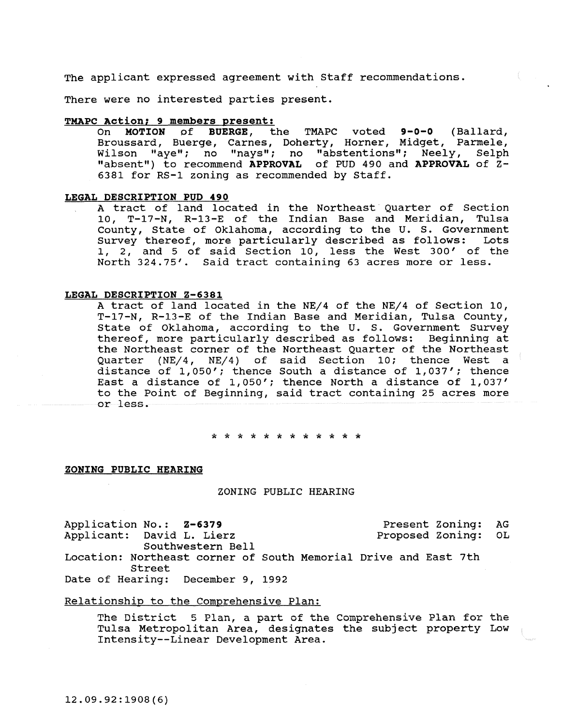The applicant expressed agreement with Staff recommendations.

There were no interested parties present.

# **TMAPC Action; 9 members present:**<br>On **MOTION** of **BUERGE**, t

the TMAPC voted 9-0-0 (Ballard, Broussard, Buerge, Carnes, Doherty, Horner, Midget, Parmele, Wilson "aye"; no "nays"; no "abstentions"; Neely, Selph "absent") to recommend **APPROVAL** of PUD 490 and **APPROVAL** of Z-6381 for RS-1 zoning as recommended by Staff.

# **LEGAL DESCRIPTION POD 490**

A tract of land located in the Northeast Quarter of Section 10, T-17-N, R-13-E of the Indian Base and Meridian, Tulsa County, State of Oklahoma, according to the U. S. Government<br>Survey thereof, more particularly described as follows: Lots Survey thereof, more particularly described as follows: 1, 2, and 5 of said Section 10, less the West 300' of the North 324.75'. Said tract containing 63 acres more or less.

# **LEGAL DESCRIPTION Z-6381**

A tract of land located in the NE/4 of the NE/4 of Section 10, T-17-N, R-13-E of the Indian Base and Meridian, Tulsa County, State of Oklahoma, according to the U. s. Government survey thereof, more particularly described as follows: Beginning at the Northeast corner of the Northeast Quarter of the Northeast Quarter (NE/4, NE/4) of said Section 10; thence West a distance of 1,050'; thence South a distance of 1,037'; thence East a distance of 1,050'; thence North a distance of 1,037' to the Point of Beginning, said tract containing 25 acres more or less.

\* \* \* \* \* \* \* \* \* \* \* \*

#### ZONING PUBLIC HEARING

ZONING PUBLIC HEARING

Application No.: 2-6379 Present Zoning: AG<br>Applicant: David L. Lierz Proposed Zoning: OL Applicant: David L. Lierz Proposed Zoning: OL Southwestern Bell Location: Northeast corner of South Memorial Drive and East 7th Street Date of Hearing: December 9, 1992

Relationship to the Comprehensive Plan:

**The District 5 Plan, a part of the Comprehensive Plan for the**  Tulsa Metropolitan Area, designates the subject property Low Intensity--Linear Development Area.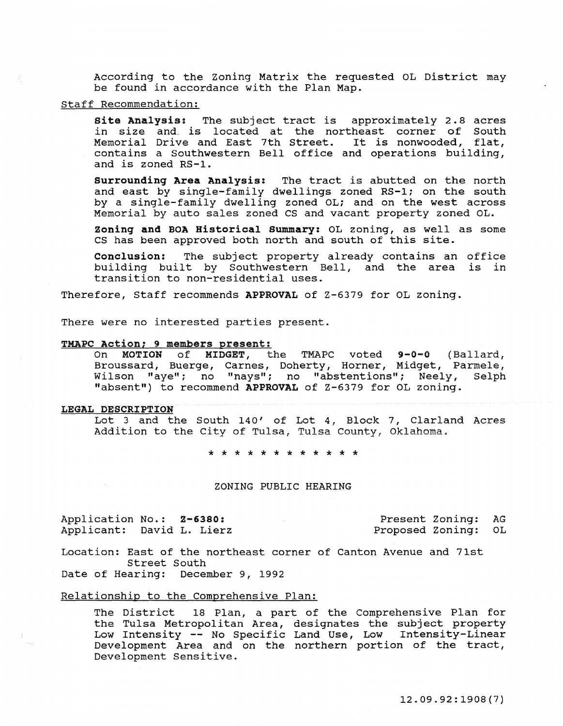According to the Zoning Matrix the requested OL District may be found in accordance with the Plan Map.

# Staff Recommendation:

Site Analysis: The subject tract is approximately 2.8 acres in size and is located at the northeast corner of South In size and is focated at the northeast corner of South<br>Memorial Drive and East 7th Street. It is nonwooded, flat, contains a Southwestern Bell office and operations building, and is zoned RS-1.

surrounding Area Analysis: The tract is abutted on the north and east by single-family dwellings zoned RS-1; on the south by a single-family dwelling zoned OL; and on the west across Memorial by auto sales zoned CS and vacant property zoned OL.

Zoning and BOA Historical Summary: OL zoning, as well as some cs has been approved both north and south of this site.

Conclusion: The subject property already contains an office building built by Southwestern Bell, and the area is in transition to non-residential uses.

Therefore, Staff recommends APPROVAL of Z-6379 for OL zoning.

There were no interested parties present.

## TMAPC Action; 9 members present:

On MOTION of MIDGET, the TMAPC voted 9-0-0 (Ballard, Broussard, Buerge, Carnes, Doherty, Horner, Midget, Parmele, Wilson "aye": no "nays"; no "abstentions"; Neely, Selph "absent") to recommend APPROVAL of Z-6379 for OL zoning.

#### LEGAL DESCRIPTION

Lot 3 and the South 140' of Lot 4, Block 7, Clarland Acres Addition to the City of Tulsa, Tulsa County, Oklahoma.

\* \* \* \* \* \* \* \* \* \* \* \*

# ZONING PUBLIC HEARING

Application No.: Z-6380: Applicant: David L. Lierz

Present Zoning: AG Proposed Zoning: OL

Location: East of the northeast corner of Canton Avenue and 7lst Street South Date of Hearing: December 9, 1992

# Relationship to the Comprehensive Plan:

The District 18 Plan, a part of the Comprehensive Plan for the Tulsa Metropolitan Area, designates the subject property Low Intensity -- No Specific Land Use, Low Intensity-Linear Development Area and on the northern portion of the tract, Development Sensitive.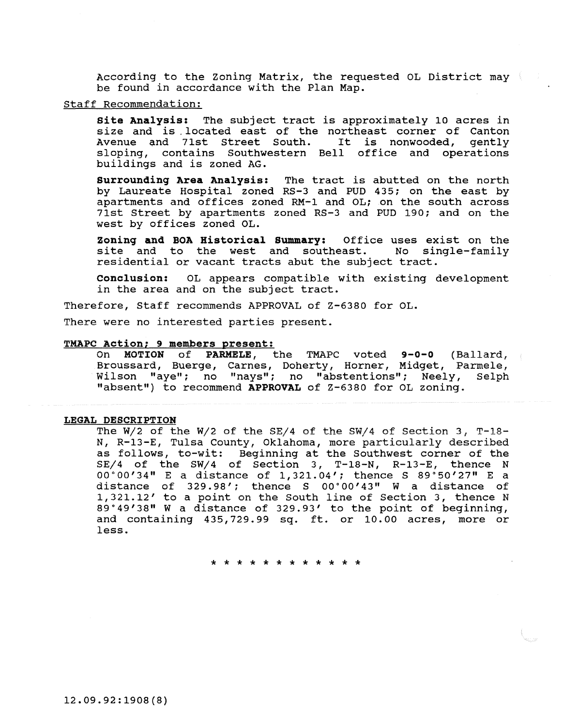According to the Zoning Matrix, the requested OL District may be found in accordance with the Plan Map.

# Staff Recommendation:

Site Analysis: The subject tract is approximately 10 acres in size and is located east of the northeast corner of Canton<br>Avenue and 71st Street South. It is nonwooded, gently Avenue and 71st Street South. sloping, contains Southwestern Bell office and operations buildings and is zoned AG.

Surrounding Area Analysis: The tract is abutted on the north by Laureate Hospital zoned RS-3 and PUD 435; on the east by apartments and offices zoned RM-1 and OL; on the south across 71st Street by apartments zoned RS-3 and PUD 190; and on the west by offices zoned OL.

**Zoning and BOA Historical Summary:** Office uses exist on the<br>site and to the west and southeast. No single-family site and to the west and southeast. residential or vacant tracts abut the subject tract.

Conclusion: OL appears compatible with existing development in the area and on the subject tract.

Therefore, staff recommends APPROVAL of Z-6380 for OL.

There were no interested parties present.

## TMAPC Action; 9 members present:

On MOTION of PARMELE, the TMAPC voted 9-0-0 (Ballard, Broussard, Buerge, Carnes, Doherty, Horner, Midget, Parmele, Wilson "aye"; no "nays"; no "abstentions"; Neely, Selph "absent") to recommend APPROVAL of Z-6380 for OL zoning.

## LEGAL DESCRIPTION

The W/2 of the W/2 of the SE/4 of the SW/4 of Section 3, T-18-N, R-13-E, Tulsa county, Oklahoma, more particularly described as follows, to-wit: Beginning at the Southwest corner of the SE/4 of the SW/4 of Section 3, T-18-N, R-13-E, thence N oo·oo'34" E a distance of 1,321.04'; thence s 89.50'27" E a distance of 329.98'; thence s oo·oo'43" w a distance of 1,321.12' to a point on the South line of Section 3, thence N 89.49'38" W a distance of 329.93' to the point of beginning, and containing 435,729.99 sq. ft. or 10.00 acres, more or less.

\* \* \* \* \* \* \* \* \* \* \* \*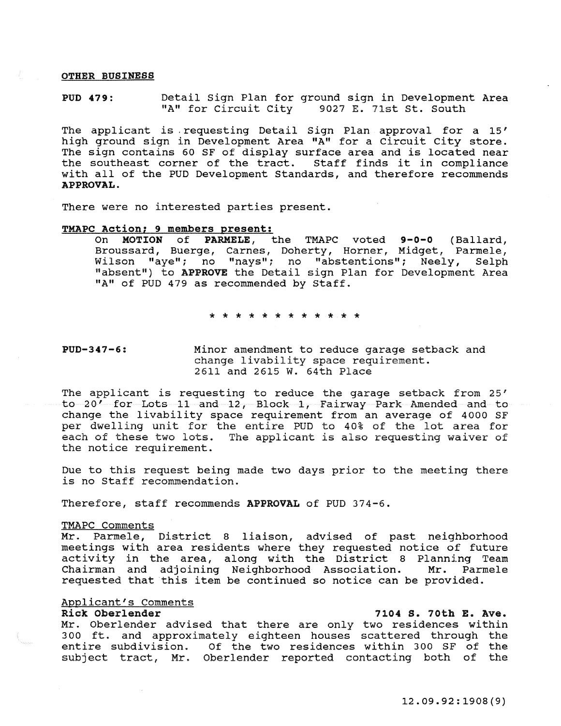# OTHER BUSINESS

PUD 479: Detail Sign Plan for ground sign in Development Area "A" for Circuit City 9027 E. 71st St. South

The applicant is requesting Detail Sign Plan approval for a 15' high ground sign in Development Area "A" for a Circuit City store. The sign contains 60 SF of display surface area and is located near the southeast corner of the tract. Staff finds it in compliance with all of the PUD Development Standards, and therefore recommends APPROVAL.

There were no interested parties present.

# TMAPC Action; 9 members oresent:

On MOTION of PARMELE, the TMAPC voted 9-0-0 (Ballard, Broussard, Buerge, Carnes, Doherty, Horner, Midget, Parmele, Wilson "aye"; no "nays"; no "abstentions"; Neely, Selph "absent") to APPROVE the Detail sign Plan for Development Area "A" of PUD 479 as recommended by Staff.

\* \* \* \* \* \* \* \* \* \* \* \*

#### PUD-347-6: Minor amendment to reduce garage setback and change livability space requirement. 2611 and 2615 w. 64th Place

The applicant is requesting to reduce the garage setback from 25' to 20' for Lots 11 and 12, Block 1, Fairway Park Amended and to change the livability space requirement from an average of 4000 SF per dwelling unit for the entire PUD to 40% of the lot area for each of these two lots. The applicant is also requesting waiver of the notice requirement.

Due to this request being made two days prior to the meeting there is no Staff recommendation.

Therefore, staff recommends APPROVAL of PUD 374-6.

## TMAPC Comments

<u>nnn Commenco</u><br>Mr. Parmele, District 8 liaison, advised of past neighborhood meetings with area residents where they requested notice of future activity in the area, along with the District 8 Planning Team Chairman and adjoining Neighborhood Association. requested that this item be continued so notice can be provided.

# Applicant's Comments<br>Rick Oberlender

7104 S. 70th E. Ave.

Mr. Oberlender advised that there are only two residences within 300 ft. and approximately eighteen houses scattered through the entire subdivision. Of the two residences within 300 SF of the subject tract, Mr. Oberlender reported contacting both of the